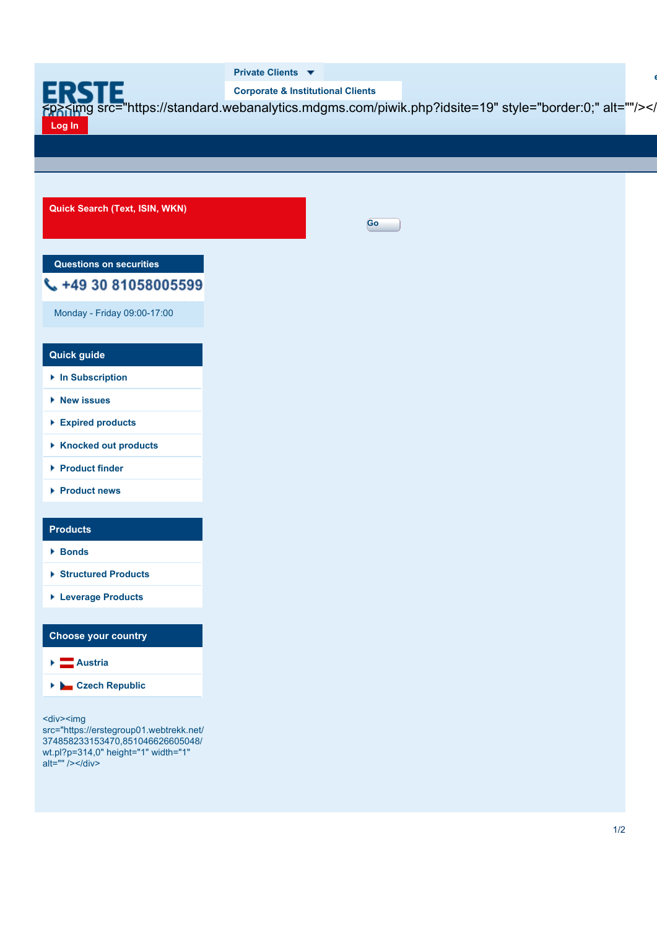